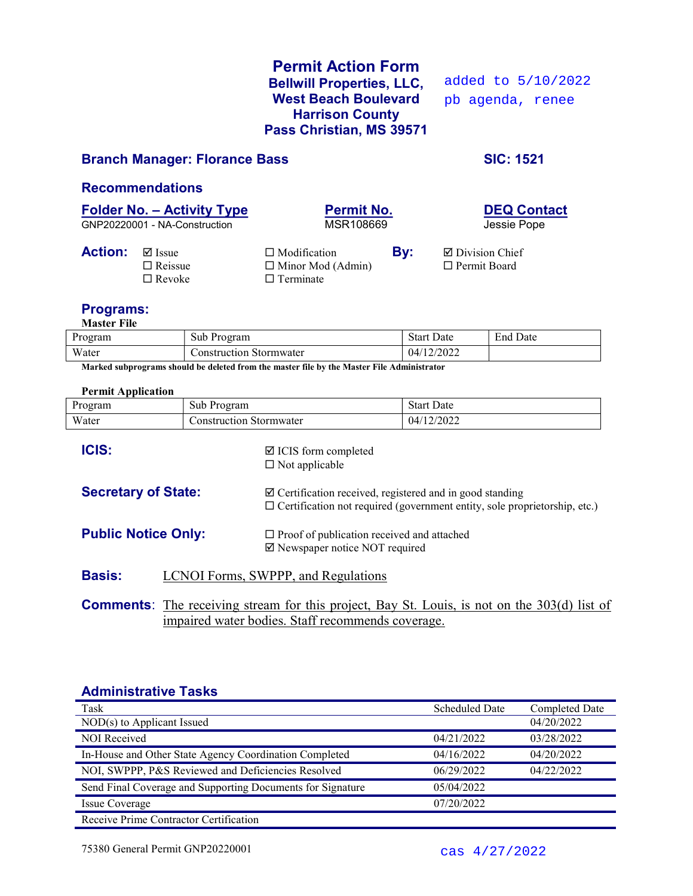## Permit Action Form Bellwill Properties, LLC, West Beach Boulevard Harrison County Pass Christian, MS 39571

added to 5/10/2022 pb agenda, renee

### Branch Manager: Florance Bass SIC: 1521

### Recommendations

# Folder No. – Activity Type<br>
GNP20220001 - NA-Construction<br>
MSR108669<br>
MSR108669

GNP20220001 - NA-Construction

**Action:**  $\Box$  Issue  $\Box$  Modification **By:**  $\Box$  Division Chief  $\Box$  Reissue  $\Box$  Minor Mod (Admin)  $\Box$  Permit Board  $\Box$  Revoke  $\Box$  Terminate

### Programs:

Master File

| Program | Sub F<br>Program           | $\sim$<br>Date<br>Start | $\mathbf{r}$<br>Date<br>End |
|---------|----------------------------|-------------------------|-----------------------------|
| Water   | onstruction.<br>Stormwater | 2022<br>4١.             |                             |

Marked subprograms should be deleted from the master file by the Master File Administrator

### Permit Application

| Program                    | Sub Program                                              | <b>Start Date</b>                                                                                                                                       |  |  |  |
|----------------------------|----------------------------------------------------------|---------------------------------------------------------------------------------------------------------------------------------------------------------|--|--|--|
| Water                      | <b>Construction Stormwater</b>                           | 04/12/2022                                                                                                                                              |  |  |  |
| <b>ICIS:</b>               | $\boxtimes$ ICIS form completed<br>$\Box$ Not applicable |                                                                                                                                                         |  |  |  |
| <b>Secretary of State:</b> |                                                          | $\boxtimes$ Certification received, registered and in good standing<br>$\Box$ Certification not required (government entity, sole proprietorship, etc.) |  |  |  |
| <b>Public Notice Only:</b> |                                                          | $\Box$ Proof of publication received and attached<br>☑ Newspaper notice NOT required                                                                    |  |  |  |
| <b>Basis:</b>              | LCNOI Forms, SWPPP, and Regulations                      |                                                                                                                                                         |  |  |  |
|                            |                                                          | <b>Comments:</b> The receiving stream for this project, Bay St. Louis, is not on the 303(d) list of                                                     |  |  |  |

impaired water bodies. Staff recommends coverage.

### Administrative Tasks

| Task                                                       | <b>Scheduled Date</b> | Completed Date |
|------------------------------------------------------------|-----------------------|----------------|
| $NOD(s)$ to Applicant Issued                               |                       | 04/20/2022     |
| NOI Received                                               | 04/21/2022            | 03/28/2022     |
| In-House and Other State Agency Coordination Completed     | 04/16/2022            | 04/20/2022     |
| NOI, SWPPP, P&S Reviewed and Deficiencies Resolved         | 06/29/2022            | 04/22/2022     |
| Send Final Coverage and Supporting Documents for Signature | 05/04/2022            |                |
| Issue Coverage                                             | 07/20/2022            |                |
| Receive Prime Contractor Certification                     |                       |                |

75380 General Permit GNP20220001